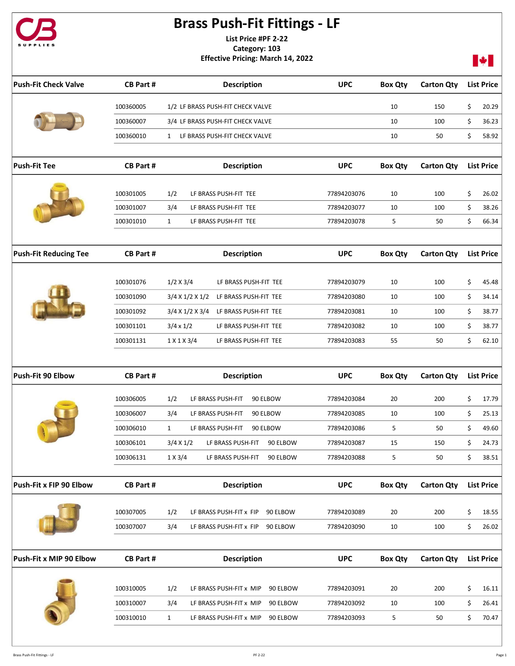

## Brass Push-Fit Fittings - LF

List Price #PF 2-22 Category: 103 Effective Pricing: March 14, 2022



| <b>Push-Fit Check Valve</b>  | <b>CB Part#</b>        | <b>Description</b>                                                                                | <b>UPC</b>                 | <b>Box Qty</b> | <b>Carton Qty</b> | <b>List Price</b>          |
|------------------------------|------------------------|---------------------------------------------------------------------------------------------------|----------------------------|----------------|-------------------|----------------------------|
|                              | 100360005              | 1/2 LF BRASS PUSH-FIT CHECK VALVE                                                                 |                            | 10             | 150               | \$<br>20.29                |
|                              | 100360007              | 3/4 LF BRASS PUSH-FIT CHECK VALVE                                                                 |                            | 10             | 100               | \$<br>36.23                |
|                              | 100360010              | 1 LF BRASS PUSH-FIT CHECK VALVE                                                                   |                            | 10             | 50                | \$<br>58.92                |
|                              |                        |                                                                                                   |                            |                |                   |                            |
| <b>Push-Fit Tee</b>          | <b>CB Part#</b>        | <b>Description</b>                                                                                | <b>UPC</b>                 | <b>Box Qty</b> | <b>Carton Qty</b> | <b>List Price</b>          |
|                              | 100301005              | 1/2<br>LF BRASS PUSH-FIT TEE                                                                      | 77894203076                | 10             | 100               | \$<br>26.02                |
|                              | 100301007              | 3/4<br>LF BRASS PUSH-FIT TEE                                                                      | 77894203077                | 10             | 100               | \$<br>38.26                |
|                              | 100301010              | LF BRASS PUSH-FIT TEE<br>$\mathbf{1}$                                                             | 77894203078                | 5              | 50                | \$<br>66.34                |
|                              |                        |                                                                                                   |                            |                |                   |                            |
| <b>Push-Fit Reducing Tee</b> | <b>CB Part#</b>        | <b>Description</b>                                                                                | <b>UPC</b>                 | <b>Box Qty</b> | <b>Carton Qty</b> | <b>List Price</b>          |
|                              | 100301076              | 1/2 X 3/4<br>LF BRASS PUSH-FIT TEE                                                                | 77894203079                | 10             | 100               | \$<br>45.48                |
|                              | 100301090              | LF BRASS PUSH-FIT TEE<br>$3/4$ X $1/2$ X $1/2$                                                    | 77894203080                | 10             | 100               | \$<br>34.14                |
|                              | 100301092              | 3/4 X 1/2 X 3/4 LF BRASS PUSH-FIT TEE                                                             | 77894203081                | 10             | 100               | \$<br>38.77                |
|                              | 100301101              | $3/4 \times 1/2$<br>LF BRASS PUSH-FIT TEE                                                         | 77894203082                | 10             | 100               | \$<br>38.77                |
|                              | 100301131              | 1 X 1 X 3/4<br>LF BRASS PUSH-FIT TEE                                                              | 77894203083                | 55             | 50                | \$<br>62.10                |
|                              |                        |                                                                                                   |                            |                |                   |                            |
| Push-Fit 90 Elbow            | <b>CB Part#</b>        | <b>Description</b>                                                                                | <b>UPC</b>                 | <b>Box Qty</b> | <b>Carton Qty</b> | <b>List Price</b>          |
|                              | 100306005              | 1/2<br>LF BRASS PUSH-FIT<br>90 ELBOW                                                              | 77894203084                | 20             | 200               | \$<br>17.79                |
|                              | 100306007              | 3/4<br>LF BRASS PUSH-FIT<br>90 ELBOW                                                              | 77894203085                | 10             | 100               | \$<br>25.13                |
|                              | 100306010              | LF BRASS PUSH-FIT<br>90 ELBOW<br>$\mathbf{1}$                                                     | 77894203086                | 5              | 50                | \$<br>49.60                |
|                              | 100306101              | 3/4 X 1/2<br>LF BRASS PUSH-FIT<br>90 ELBOW                                                        | 77894203087                | 15             | 150               | \$<br>24.73                |
|                              |                        |                                                                                                   |                            |                |                   |                            |
|                              | 100306131              | $1 \times 3/4$<br>LF BRASS PUSH-FIT<br>90 ELBOW                                                   | 77894203088                | 5              | 50                | \$<br>38.51                |
|                              |                        |                                                                                                   |                            |                |                   |                            |
| Push-Fit x FIP 90 Elbow      | <b>CB Part#</b>        | <b>Description</b>                                                                                | <b>UPC</b>                 | <b>Box Qty</b> | <b>Carton Qty</b> | <b>List Price</b>          |
|                              | 100307005              | 1/2<br>LF BRASS PUSH-FIT x FIP<br>90 ELBOW                                                        | 77894203089                | 20             | 200               | \$<br>18.55                |
|                              | 100307007              | 3/4<br>LF BRASS PUSH-FIT x FIP 90 ELBOW                                                           | 77894203090                | 10             | 100               | \$<br>26.02                |
|                              |                        |                                                                                                   |                            |                |                   |                            |
| Push-Fit x MIP 90 Elbow      | <b>CB Part#</b>        | <b>Description</b>                                                                                | <b>UPC</b>                 | <b>Box Qty</b> | <b>Carton Qty</b> | <b>List Price</b>          |
|                              |                        |                                                                                                   |                            |                |                   |                            |
|                              | 100310005              | 1/2<br>LF BRASS PUSH-FIT x MIP<br>90 ELBOW                                                        | 77894203091                | 20             | 200               | \$<br>16.11                |
|                              | 100310007<br>100310010 | 3/4<br>LF BRASS PUSH-FIT x MIP<br>90 ELBOW<br>$\mathbf{1}$<br>90 ELBOW<br>LF BRASS PUSH-FIT x MIP | 77894203092<br>77894203093 | 10<br>5        | 100<br>50         | \$<br>26.41<br>\$<br>70.47 |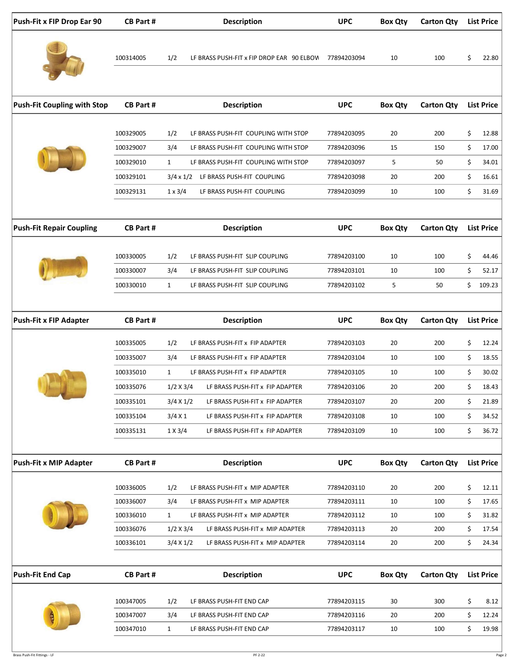| Push-Fit x FIP Drop Ear 90         | <b>CB Part#</b> | <b>Description</b>                                   | <b>UPC</b>  | <b>Box Qty</b> | <b>Carton Qty</b> | <b>List Price</b> |
|------------------------------------|-----------------|------------------------------------------------------|-------------|----------------|-------------------|-------------------|
|                                    | 100314005       | 1/2<br>LF BRASS PUSH-FIT x FIP DROP EAR 90 ELBOV     | 77894203094 | 10             | 100               | \$<br>22.80       |
| <b>Push-Fit Coupling with Stop</b> | <b>CB Part#</b> | <b>Description</b>                                   | <b>UPC</b>  | <b>Box Qty</b> | <b>Carton Qty</b> | <b>List Price</b> |
|                                    | 100329005       | 1/2<br>LF BRASS PUSH-FIT COUPLING WITH STOP          | 77894203095 | 20             | 200               | \$<br>12.88       |
|                                    | 100329007       | 3/4<br>LF BRASS PUSH-FIT COUPLING WITH STOP          | 77894203096 | 15             | 150               | \$<br>17.00       |
|                                    | 100329010       | $\mathbf{1}$<br>LF BRASS PUSH-FIT COUPLING WITH STOP | 77894203097 | 5              | 50                | \$<br>34.01       |
|                                    | 100329101       | 3/4 x 1/2 LF BRASS PUSH-FIT COUPLING                 | 77894203098 | 20             | 200               | \$<br>16.61       |
|                                    | 100329131       | $1 \times 3/4$<br>LF BRASS PUSH-FIT COUPLING         | 77894203099 | 10             | 100               | \$<br>31.69       |
|                                    |                 |                                                      |             |                |                   |                   |
| <b>Push-Fit Repair Coupling</b>    | <b>CB Part#</b> | <b>Description</b>                                   | <b>UPC</b>  | <b>Box Qty</b> | <b>Carton Qty</b> | <b>List Price</b> |
|                                    | 100330005       | 1/2<br>LF BRASS PUSH-FIT SLIP COUPLING               | 77894203100 | 10             | 100               | \$<br>44.46       |
|                                    | 100330007       | 3/4<br>LF BRASS PUSH-FIT SLIP COUPLING               | 77894203101 | 10             | 100               | \$<br>52.17       |
|                                    | 100330010       | $\mathbf{1}$<br>LF BRASS PUSH-FIT SLIP COUPLING      | 77894203102 | 5              | 50                | \$<br>109.23      |
| <b>Push-Fit x FIP Adapter</b>      | <b>CB Part#</b> | <b>Description</b>                                   | <b>UPC</b>  | <b>Box Qty</b> | <b>Carton Qty</b> | <b>List Price</b> |
|                                    | 100335005       | 1/2<br>LF BRASS PUSH-FIT x FIP ADAPTER               | 77894203103 | 20             | 200               | \$<br>12.24       |
|                                    | 100335007       | 3/4<br>LF BRASS PUSH-FIT x FIP ADAPTER               | 77894203104 | 10             | 100               | \$<br>18.55       |
|                                    | 100335010       | $\mathbf{1}$<br>LF BRASS PUSH-FIT x FIP ADAPTER      | 77894203105 | 10             | 100               | \$<br>30.02       |
|                                    | 100335076       | 1/2 X 3/4<br>LF BRASS PUSH-FIT x FIP ADAPTER         | 77894203106 | 20             | 200               | \$<br>18.43       |
|                                    | 100335101       | 3/4 X 1/2<br>LF BRASS PUSH-FIT x FIP ADAPTER         | 77894203107 | 20             | 200               | \$<br>21.89       |
|                                    | 100335104       | 3/4 X 1<br>LF BRASS PUSH-FIT x FIP ADAPTER           | 77894203108 | 10             | 100               | \$<br>34.52       |
|                                    | 100335131       | $1 \times 3/4$<br>LF BRASS PUSH-FIT x FIP ADAPTER    | 77894203109 | 10             | 100               | \$<br>36.72       |
|                                    |                 |                                                      |             |                |                   |                   |
| <b>Push-Fit x MIP Adapter</b>      | <b>CB Part#</b> | <b>Description</b>                                   | <b>UPC</b>  | <b>Box Qty</b> | <b>Carton Qty</b> | <b>List Price</b> |
|                                    | 100336005       | 1/2<br>LF BRASS PUSH-FIT x MIP ADAPTER               | 77894203110 | 20             | 200               | \$<br>12.11       |
|                                    | 100336007       | 3/4<br>LF BRASS PUSH-FIT x MIP ADAPTER               | 77894203111 | 10             | 100               | \$<br>17.65       |
|                                    | 100336010       | $\mathbf{1}$<br>LF BRASS PUSH-FIT x MIP ADAPTER      | 77894203112 | 10             | 100               | \$<br>31.82       |
|                                    | 100336076       | $1/2$ X 3/4<br>LF BRASS PUSH-FIT x MIP ADAPTER       | 77894203113 | 20             | 200               | \$<br>17.54       |
|                                    | 100336101       | $3/4 \times 1/2$<br>LF BRASS PUSH-FIT x MIP ADAPTER  | 77894203114 | 20             | 200               | \$<br>24.34       |
| <b>Push-Fit End Cap</b>            | <b>CB Part#</b> | <b>Description</b>                                   | <b>UPC</b>  | <b>Box Qty</b> | <b>Carton Qty</b> | <b>List Price</b> |
|                                    | 100347005       | 1/2<br>LF BRASS PUSH-FIT END CAP                     | 77894203115 | 30             | 300               | \$<br>8.12        |
|                                    | 100347007       | 3/4<br>LF BRASS PUSH-FIT END CAP                     | 77894203116 | 20             | 200               | \$<br>12.24       |
|                                    | 100347010       | $\mathbf{1}$<br>LF BRASS PUSH-FIT END CAP            | 77894203117 | 10             | 100               | \$<br>19.98       |
|                                    |                 |                                                      |             |                |                   |                   |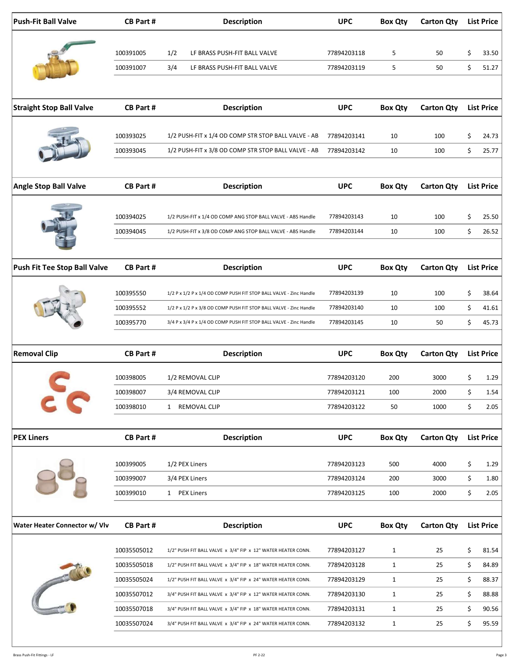| <b>Push-Fit Ball Valve</b>      | <b>CB Part#</b>        | <b>Description</b>                                                 | <b>UPC</b>                 | <b>Box Qty</b> | <b>Carton Qty</b> |          | <b>List Price</b> |
|---------------------------------|------------------------|--------------------------------------------------------------------|----------------------------|----------------|-------------------|----------|-------------------|
|                                 |                        |                                                                    |                            |                |                   |          |                   |
|                                 | 100391005              | 1/2<br>LF BRASS PUSH-FIT BALL VALVE                                | 77894203118                | 5              | 50                | \$       | 33.50             |
|                                 | 100391007              | 3/4<br>LF BRASS PUSH-FIT BALL VALVE                                | 77894203119                | 5              | 50                | \$       | 51.27             |
|                                 |                        |                                                                    |                            |                |                   |          |                   |
| <b>Straight Stop Ball Valve</b> | <b>CB Part#</b>        | <b>Description</b>                                                 | <b>UPC</b>                 | <b>Box Qty</b> | <b>Carton Qty</b> |          | <b>List Price</b> |
|                                 | 100393025              | 1/2 PUSH-FIT x 1/4 OD COMP STR STOP BALL VALVE - AB                | 77894203141                | 10             | 100               | \$       | 24.73             |
|                                 | 100393045              | 1/2 PUSH-FIT x 3/8 OD COMP STR STOP BALL VALVE - AB                | 77894203142                | 10             | 100               | \$       | 25.77             |
|                                 |                        |                                                                    |                            |                |                   |          |                   |
| <b>Angle Stop Ball Valve</b>    | <b>CB Part#</b>        | <b>Description</b>                                                 | <b>UPC</b>                 | <b>Box Qty</b> | <b>Carton Qty</b> |          | <b>List Price</b> |
|                                 | 100394025              | 1/2 PUSH-FIT x 1/4 OD COMP ANG STOP BALL VALVE - ABS Handle        | 77894203143                | 10             | 100               | \$       | 25.50             |
|                                 | 100394045              | 1/2 PUSH-FIT x 3/8 OD COMP ANG STOP BALL VALVE - ABS Handle        | 77894203144                | 10             | 100               | \$       | 26.52             |
|                                 |                        |                                                                    |                            |                |                   |          |                   |
| Push Fit Tee Stop Ball Valve    | <b>CB Part#</b>        | <b>Description</b>                                                 | <b>UPC</b>                 | <b>Box Qty</b> | <b>Carton Qty</b> |          | <b>List Price</b> |
|                                 | 100395550              | 1/2 P x 1/2 P x 1/4 OD COMP PUSH FIT STOP BALL VALVE - Zinc Handle | 77894203139                | 10             | 100               | \$       | 38.64             |
|                                 | 100395552              | 1/2 P x 1/2 P x 3/8 OD COMP PUSH FIT STOP BALL VALVE - Zinc Handle | 77894203140                | 10             | 100               | \$       | 41.61             |
|                                 | 100395770              | 3/4 P x 3/4 P x 1/4 OD COMP PUSH FIT STOP BALL VALVE - Zinc Handle | 77894203145                | 10             | 50                | \$       | 45.73             |
| <b>Removal Clip</b>             | <b>CB Part#</b>        | <b>Description</b>                                                 | <b>UPC</b>                 | <b>Box Qty</b> | <b>Carton Qty</b> |          | <b>List Price</b> |
|                                 |                        |                                                                    |                            |                |                   |          |                   |
|                                 | 100398005              | 1/2 REMOVAL CLIP                                                   | 77894203120                | 200            | 3000              | \$       | 1.29              |
|                                 | 100398007<br>100398010 | 3/4 REMOVAL CLIP<br>1 REMOVAL CLIP                                 | 77894203121<br>77894203122 | 100<br>50      | 2000<br>1000      | \$<br>\$ | 1.54<br>2.05      |
|                                 |                        |                                                                    |                            |                |                   |          |                   |
| <b>PEX Liners</b>               | <b>CB Part#</b>        | <b>Description</b>                                                 | <b>UPC</b>                 | <b>Box Qty</b> | <b>Carton Qty</b> |          | <b>List Price</b> |
|                                 | 100399005              | 1/2 PEX Liners                                                     | 77894203123                | 500            | 4000              | \$       | 1.29              |
|                                 | 100399007              | 3/4 PEX Liners                                                     | 77894203124                | 200            | 3000              | \$       | 1.80              |
|                                 | 100399010              | 1 PEX Liners                                                       | 77894203125                | 100            | 2000              | \$       | 2.05              |
|                                 |                        |                                                                    |                            |                |                   |          |                   |
| Water Heater Connector w/ Vlv   | <b>CB Part#</b>        | <b>Description</b>                                                 | <b>UPC</b>                 | <b>Box Qty</b> | <b>Carton Qty</b> |          | <b>List Price</b> |
|                                 | 10035505012            | 1/2" PUSH FIT BALL VALVE x 3/4" FIP x 12" WATER HEATER CONN.       | 77894203127                | $\mathbf{1}$   | 25                | \$       | 81.54             |
|                                 | 10035505018            | 1/2" PUSH FIT BALL VALVE x 3/4" FIP x 18" WATER HEATER CONN.       | 77894203128                | $\mathbf{1}$   | 25                | \$       | 84.89             |
| <b>CONTRACTOR</b>               | 10035505024            | 1/2" PUSH FIT BALL VALVE x 3/4" FIP x 24" WATER HEATER CONN.       | 77894203129                | $\mathbf{1}$   | 25                | \$       | 88.37             |
|                                 | 10035507012            | 3/4" PUSH FIT BALL VALVE x 3/4" FIP x 12" WATER HEATER CONN.       | 77894203130                | $\mathbf{1}$   | 25                | \$       | 88.88             |
|                                 | 10035507018            | 3/4" PUSH FIT BALL VALVE x 3/4" FIP x 18" WATER HEATER CONN.       | 77894203131                | $\mathbf{1}$   | 25                | \$       | 90.56             |
|                                 | 10035507024            | 3/4" PUSH FIT BALL VALVE x 3/4" FIP x 24" WATER HEATER CONN.       | 77894203132                | $\mathbf{1}$   | 25                | \$       | 95.59             |
|                                 |                        |                                                                    |                            |                |                   |          |                   |